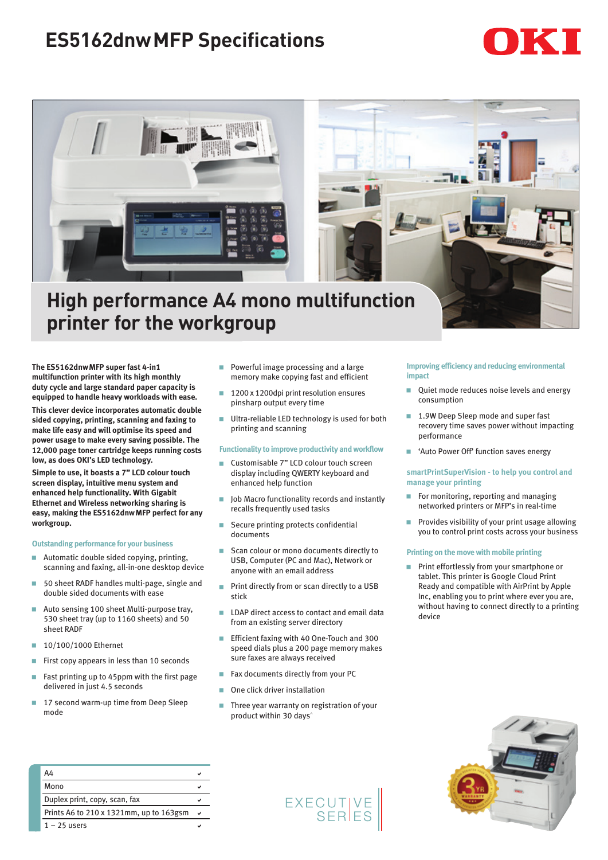# **ES5162dnwMFP Specifications**





## **High performance A4 mono multifunction printer for the workgroup**

**The ES5162dnwMFP super fast 4-in1 multifunction printer with its high monthly duty cycle and large standard paper capacity is equipped to handle heavy workloads with ease.** 

**This clever device incorporates automatic double sided copying, printing, scanning and faxing to make life easy and will optimise its speed and power usage to make every saving possible. The 12,000 page toner cartridge keeps running costs low, as does OKI's LED technology.** 

**Simple to use, it boasts a 7" LCD colour touch screen display, intuitive menu system and enhanced help functionality. With Gigabit Ethernet and Wireless networking sharing is easy, making the ES5162dnwMFP perfect for any workgroup.**

#### **Outstanding performance for your business**

- **Automatic double sided copying, printing,** scanning and faxing, all-in-one desktop device
- 50 sheet RADF handles multi-page, single and double sided documents with ease
- Auto sensing 100 sheet Multi-purpose tray, 530 sheet tray (up to 1160 sheets) and 50 sheet RADF
- 10/100/1000 Ethernet
- First copy appears in less than 10 seconds
- Fast printing up to 45ppm with the first page delivered in just 4.5 seconds
- 17 second warm-up time from Deep Sleep mode
- **Powerful image processing and a large** memory make copying fast and efficient
- 1200 x 1200dpi print resolution ensures pinsharp output every time
- **Ultra-reliable LED technology is used for both** printing and scanning

#### **Functionality to improve productivity and workflow**

- Customisable 7" LCD colour touch screen display including QWERTY keyboard and enhanced help function
- Job Macro functionality records and instantly recalls frequently used tasks
- Secure printing protects confidential documents
- Scan colour or mono documents directly to USB, Computer (PC and Mac), Network or anyone with an email address
- **Print directly from or scan directly to a USB** stick
- LDAP direct access to contact and email data from an existing server directory
- Efficient faxing with 40 One-Touch and 300 speed dials plus a 200 page memory makes
- sure faxes are always received Fax documents directly from your PC
- One click driver installation
- Three year warranty on registration of your product within 30 days<sup>\*</sup>

#### **Improving efficiency and reducing environmental impact**

- **Quiet mode reduces noise levels and energy** consumption
- 1.9W Deep Sleep mode and super fast recovery time saves power without impacting performance
- **E** 'Auto Power Off' function saves energy

#### **smartPrintSuperVision - to help you control and manage your printing**

- **For monitoring, reporting and managing** networked printers or MFP's in real-time
- $\blacksquare$  Provides visibility of your print usage allowing you to control print costs across your business

#### **Printing on the move with mobile printing**

**Print effortlessly from your smartphone or** tablet. This printer is Google Cloud Print Ready and compatible with AirPrint by Apple Inc, enabling you to print where ever you are, without having to connect directly to a printing device



| A4                                      |  |
|-----------------------------------------|--|
| Mono                                    |  |
| Duplex print, copy, scan, fax           |  |
| Prints A6 to 210 x 1321mm, up to 163gsm |  |
| $1 - 25$ users                          |  |